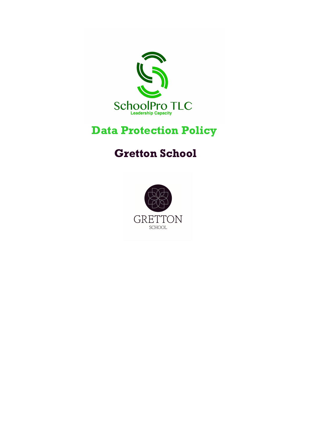

# Data Protection Policy

# Gretton School

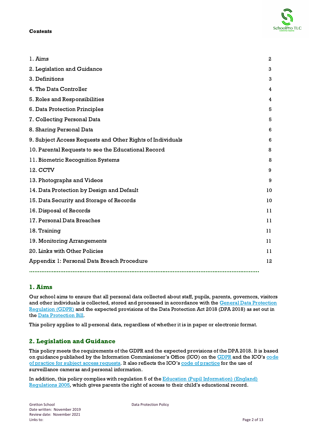#### **Contents**

| 1. Aims                                                    | $\mathbf{2}$ |
|------------------------------------------------------------|--------------|
| 2. Legislation and Guidance                                | 3            |
| 3. Definitions                                             | 3            |
| 4. The Data Controller                                     | 4            |
| 5. Roles and Responsibilities                              | 4            |
| 6. Data Protection Principles                              | 5            |
| 7. Collecting Personal Data                                | 5            |
| 8. Sharing Personal Data                                   | 6            |
| 9. Subject Access Requests and Other Rights of Individuals | 6            |
| 10. Parental Requests to see the Educational Record        | 8            |
| 11. Biometric Recognition Systems                          | 8            |
| 12. CCTV                                                   | 9            |
| 13. Photographs and Videos                                 | 9            |
| 14. Data Protection by Design and Default                  |              |
| 15. Data Security and Storage of Records                   | 10           |
| 16. Disposal of Records                                    | 11           |
| 17. Personal Data Breaches                                 | 11           |
| 18. Training                                               | 11           |
| 19. Monitoring Arrangements                                | 11           |
| 20. Links with Other Policies                              | 11           |
| Appendix 1: Personal Data Breach Procedure                 |              |
|                                                            |              |

# 1. Aims

Our school aims to ensure that all personal data collected about staff, pupils, parents, governors, visitors and other individuals is collected, stored and processed in accordance with the General Data [Protection](http://data.consilium.europa.eu/doc/document/ST-5419-2016-INIT/en/pdf) [Regulation](http://data.consilium.europa.eu/doc/document/ST-5419-2016-INIT/en/pdf) (GDPR) and the expected provisions of the Data Protection Act 2018 (DPA 2018) as set out in the Data [Protection](https://publications.parliament.uk/pa/bills/cbill/2017-2019/0153/18153.pdf) Bill.

This policy applies to all personal data, regardless of whether it is in paper or electronic format.

# 2. Legislation and Guidance

This policy meets the requirements of the GDPR and the expected provisions of the DPA 2018. It is based on guidance published by the Information Commissioner's Office (ICO) on the [GDPR](https://ico.org.uk/for-organisations/guide-to-the-general-data-protection-regulation-gdpr/) and the ICO's [code](https://ico.org.uk/media/for-organisations/documents/2014223/subject-access-code-of-practice.pdf) of practice for subject access [requests.](https://ico.org.uk/media/for-organisations/documents/2014223/subject-access-code-of-practice.pdf) It also reflects the ICO's code of [practice](https://ico.org.uk/media/for-organisations/documents/1542/cctv-code-of-practice.pdf) for the use of surveillance cameras and personal information.

In addition, this policy complies with regulation 5 of the Education (Pupil [Information\)](http://www.legislation.gov.uk/uksi/2005/1437/regulation/5/made) (England) [Regulations](http://www.legislation.gov.uk/uksi/2005/1437/regulation/5/made) 2005, which gives parents the right of access to their child's educational record.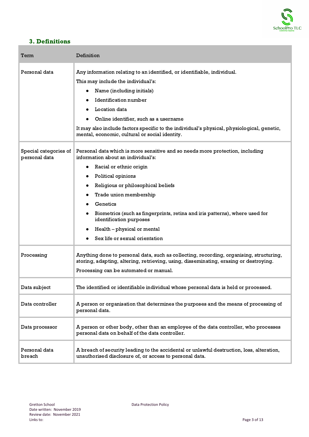

# 3. Definitions

| Term                                   | Definition                                                                                                                                                                                                                                                                                                                                                                                                                  |
|----------------------------------------|-----------------------------------------------------------------------------------------------------------------------------------------------------------------------------------------------------------------------------------------------------------------------------------------------------------------------------------------------------------------------------------------------------------------------------|
| Personal data                          | Any information relating to an identified, or identifiable, individual.<br>This may include the individual's:<br>Name (including initials)<br><b>Identification number</b><br>Location data<br>Online identifier, such as a username<br>It may also include factors specific to the individual's physical, physiological, genetic,<br>mental, economic, cultural or social identity.                                        |
| Special categories of<br>personal data | Personal data which is more sensitive and so needs more protection, including<br>information about an individual's:<br>Racial or ethnic origin<br>Political opinions<br>Religious or philosophical beliefs<br>Trade union membership<br>Genetics<br>Biometrics (such as fingerprints, retina and iris patterns), where used for<br>identification purposes<br>Health - physical or mental<br>Sex life or sexual orientation |
| Processing                             | Anything done to personal data, such as collecting, recording, organising, structuring,<br>storing, adapting, altering, retrieving, using, disseminating, erasing or destroying.<br>Processing can be automated or manual.                                                                                                                                                                                                  |
| Data subject                           | The identified or identifiable individual whose personal data is held or processed.                                                                                                                                                                                                                                                                                                                                         |
| Data controller                        | A person or organisation that determines the purposes and the means of processing of<br>personal data.                                                                                                                                                                                                                                                                                                                      |
| Data processor                         | A person or other body, other than an employee of the data controller, who processes<br>personal data on behalf of the data controller.                                                                                                                                                                                                                                                                                     |
| Personal data<br>breach                | A breach of security leading to the accidental or unlawful destruction, loss, alteration,<br>unauthorised disclosure of, or access to personal data.                                                                                                                                                                                                                                                                        |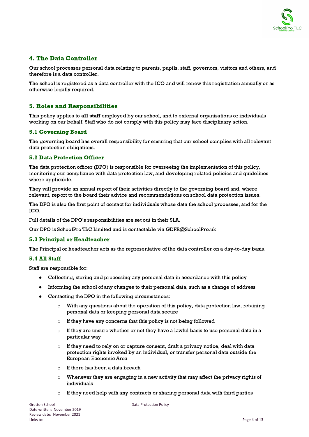

# 4. The Data Controller

Our school processes personal data relating to parents, pupils, staff, governors, visitors and others, and therefore is a data controller.

The school is registered as a data controller with the ICO and will renew this registration annually or as otherwise legally required.

# 5. Roles and Responsibilities

This policy applies to all staff employed by our school, and to external organisations or individuals working on our behalf. Staff who do not comply with this policy may face disciplinary action.

#### 5.1 Governing Board

The governing board has overall responsibility for ensuring that our school complies with all relevant data protection obligations.

#### 5.2 Data Protection Officer

The data protection officer (DPO) is responsible for overseeing the implementation of this policy, monitoring our compliance with data protection law, and developing related policies and guidelines where applicable.

They will provide an annual report of their activities directly to the governing board and, where relevant, report to the board their advice and recommendations on school data protection issues.

The DPO is also the first point of contact for individuals whose data the school processes, and for the ICO.

Full details of the DPO's responsibilities are set out in their SLA.

Our DPO is SchoolPro TLC Limited and is contactable via GDPR@SchoolPro.uk

#### 5.3 Principal or Headteacher

The Principal or headteacher acts as the representative of the data controller on a day-to-day basis.

#### 5.4 All Staff

Staff are responsible for:

- Collecting, storing and processing any personal data in accordance with this policy
- Informing the school of any changes to their personal data, such as a change of address
- Contacting the DPO in the following circumstances:
	- $\circ$  With any questions about the operation of this policy, data protection law, retaining personal data or keeping personal data secure
	- o If they have any concerns that this policy is not being followed
	- $\circ$  If they are unsure whether or not they have a lawful basis to use personal data in a particular way
	- $\circ$  If they need to rely on or capture consent, draft a privacy notice, deal with data protection rights invoked by an individual, or transfer personal data outside the European Economic Area
	- $\circ$  If there has been a data breach
	- $\circ$  Whenever they are engaging in a new activity that may affect the privacy rights of individuals
	- $\circ$  If they need help with any contracts or sharing personal data with third parties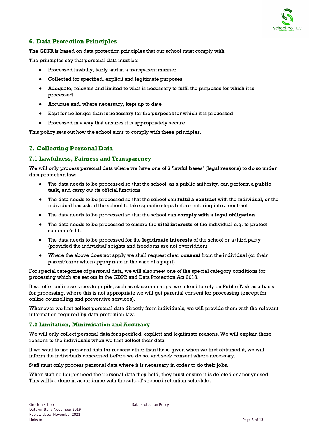

# 6. Data Protection Principles

The GDPR is based on data protection principles that our school must comply with.

The principles say that personal data must be:

- Processed lawfully, fairly and in a transparent manner
- Collected for specified, explicit and legitimate purposes
- Adequate, relevant and limited to what is necessary to fulfil the purposes for which it is processed
- Accurate and, where necessary, kept up to date
- Kept for no longer than is necessary for the purposes for which it is processed
- Processed in a way that ensures it is appropriately secure

This policy sets out how the school aims to comply with these principles.

# 7. Collecting Personal Data

#### 7.1 Lawfulness, Fairness and Transparency

We will only process personal data where we have one of 6 'lawful bases' (legal reasons) to do so under data protection law:

- The data needs to be processed so that the school, as a public authority, can perform a **public** task, and carry out its official functions
- The data needs to be processed so that the school can fulfil a contract with the individual, or the individual has asked the school to take specific steps before entering into a contract
- The data needs to be processed so that the school can comply with a legal obligation
- The data needs to be processed to ensure the **vital interests** of the individual e.g. to protect someone's life
- The data needs to be processed for the legitimate interests of the school or a third party (provided the individual's rights and freedoms are not overridden)
- Where the above does not apply we shall request clear consent from the individual (or their parent/carer when appropriate in the case of a pupil)

For special categories of personal data, we will also meet one of the special category conditions for processing which are set out in the GDPR and Data Protection Act 2018.

If we offer online services to pupils, such as classroom apps, we intend to rely on Public Task as a basis for processing, where this is not appropriate we will get parental consent for processing (except for online counselling and preventive services).

Whenever we first collect personal data directly from individuals, we will provide them with the relevant information required by data protection law.

#### 7.2 Limitation, Minimisation and Accuracy

We will only collect personal data for specified, explicit and legitimate reasons. We will explain these reasons to the individuals when we first collect their data.

If we want to use personal data for reasons other than those given when we first obtained it, we will inform the individuals concerned before we do so, and seek consent where necessary.

Staff must only process personal data where it is necessary in order to do their jobs.

When staff no longer need the personal data they hold, they must ensure it is deleted or anonymised. This will be done in accordance with the school's record retention schedule.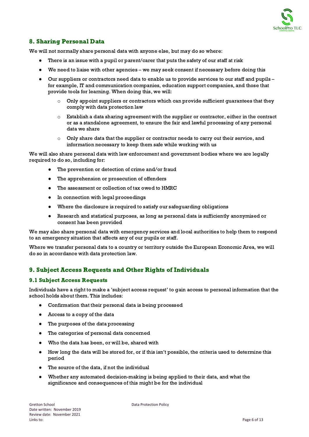

# 8. Sharing Personal Data

We will not normally share personal data with anyone else, but may do so where:

- There is an issue with a pupil or parent/carer that puts the safety of our staff at risk
- We need to liaise with other agencies we may seek consent if necessary before doing this
- Our suppliers or contractors need data to enable us to provide services to our staff and pupils for example, IT and communication companies, education support companies, and those that provide tools for learning. When doing this, we will:
	- $\circ$  Only appoint suppliers or contractors which can provide sufficient guarantees that they comply with data protection law
	- $\circ$  Establish a data sharing agreement with the supplier or contractor, either in the contract or as a standalone agreement, to ensure the fair and lawful processing of any personal data we share
	- $\circ$  Only share data that the supplier or contractor needs to carry out their service, and information necessary to keep them safe while working with us

We will also share personal data with law enforcement and government bodies where we are legally required to do so, including for:

- The prevention or detection of crime and/or fraud
- The apprehension or prosecution of offenders
- The assessment or collection of tax owed to HMRC
- In connection with legal proceedings
- Where the disclosure is required to satisfy our safeguarding obligations
- Research and statistical purposes, as long as personal data is sufficiently anonymised or consent has been provided

We may also share personal data with emergency services and local authorities to help them to respond to an emergency situation that affects any of our pupils or staff.

Where we transfer personal data to a country or territory outside the European Economic Area, we will do so in accordance with data protection law.

# 9. Subject Access Requests and Other Rights of Individuals

#### 9.1 Subject Access Requests

Individuals have a right to make a 'subject access request' to gain access to personal information that the school holds about them. This includes:

- Confirmation that their personal data is being processed
- Access to a copy of the data
- The purposes of the data processing
- The categories of personal data concerned
- Who the data has been, or will be, shared with
- How long the data will be stored for, or if this isn't possible, the criteria used to determine this period
- The source of the data, if not the individual
- Whether any automated decision-making is being applied to their data, and what the significance and consequences of this might be for the individual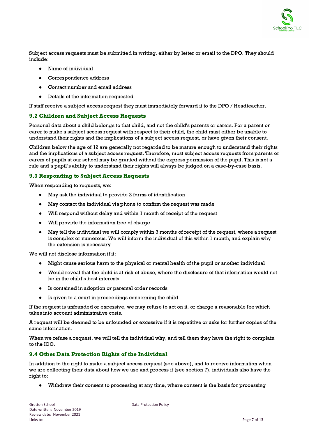

Subject access requests must be submitted in writing, either by letter or email to the DPO. They should include:

- Name of individual
- Correspondence address
- Contact number and email address
- Details of the information requested

If staff receive a subject access request they must immediately forward it to the DPO / Headteacher.

#### 9.2 Children and Subject Access Requests

Personal data about a child belongs to that child, and not the child's parents or carers. For a parent or carer to make a subject access request with respect to their child, the child must either be unable to understand their rights and the implications of a subject access request, or have given their consent.

Children below the age of 12 are generally not regarded to be mature enough to understand their rights and the implications of a subject access request. Therefore, most subject access requests from parents or carers of pupils at our school may be granted without the express permission of the pupil. This is not a rule and a pupil's ability to understand their rights will always be judged on a case-by-case basis.

#### 9.3 Responding to Subject Access Requests

When responding to requests, we:

- May ask the individual to provide 2 forms of identification
- May contact the individual via phone to confirm the request was made
- Will respond without delay and within 1 month of receipt of the request
- Will provide the information free of charge
- May tell the individual we will comply within 3 months of receipt of the request, where a request is complex or numerous. We will inform the individual of this within 1 month, and explain why the extension is necessary

We will not disclose information if it:

- Might cause serious harm to the physical or mental health of the pupil or another individual
- Would reveal that the child is at risk of abuse, where the disclosure of that information would not be in the child's best interests
- Is contained in adoption or parental order records
- Is given to a court in proceedings concerning the child

If the request is unfounded or excessive, we may refuse to act on it, or charge a reasonable fee which takes into account administrative costs.

A request will be deemed to be unfounded or excessive if it is repetitive or asks for further copies of the same information.

When we refuse a request, we will tell the individual why, and tell them they have the right to complain to the ICO.

#### 9.4 Other Data Protection Rights of the Individual

In addition to the right to make a subject access request (see above), and to receive information when we are collecting their data about how we use and process it (see section 7), individuals also have the right to:

Withdraw their consent to processing at any time, where consent is the basis for processing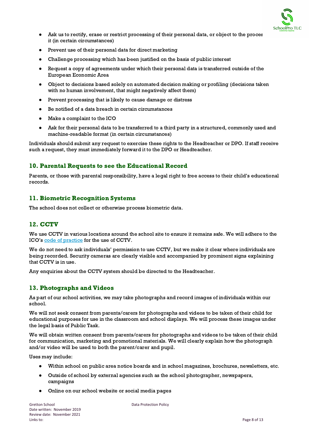

- Ask us to rectify, erase or restrict processing of their personal data, or object to the proces it (in certain circumstances)
- Prevent use of their personal data for direct marketing
- Challenge processing which has been justified on the basis of public interest
- Request a copy of agreements under which their personal data is transferred outside of the European Economic Area
- Object to decisions based solely on automated decision making or profiling (decisions taken with no human involvement, that might negatively affect them)
- Prevent processing that is likely to cause damage or distress
- Be notified of a data breach in certain circumstances
- Make a complaint to the ICO
- Ask for their personal data to be transferred to a third party in a structured, commonly used and machine-readable format (in certain circumstances)

Individuals should submit any request to exercise these rights to the Headteacher or DPO. If staff receive such a request, they must immediately forward it to the DPO or Headteacher.

# 10. Parental Requests to see the Educational Record

Parents, or those with parental responsibility, have a legal right to free access to their child's educational records.

### 11. Biometric Recognition Systems

The school does not collect or otherwise process biometric data.

### 12. CCTV

We use CCTV in various locations around the school site to ensure it remains safe. We will adhere to the ICO's code of [practice](https://ico.org.uk/media/for-organisations/documents/1542/cctv-code-of-practice.pdf) for the use of CCTV.

We do not need to ask individuals' permission to use CCTV, but we make it clear where individuals are being recorded. Security cameras are clearly visible and accompanied by prominent signs explaining that CCTV is in use.

Any enquiries about the CCTV system should be directed to the Headteacher.

### 13. Photographs and Videos

As part of our school activities, we may take photographs and record images of individuals within our school.

We will not seek consent from parents/carers for photographs and videos to be taken of their child for educational purposes for use in the classroom and school displays. We will process these images under the legal basis of Public Task.

We will obtain written consent from parents/carers for photographs and videos to be taken of their child for communication, marketing and promotional materials. We will clearly explain how the photograph and/or video will be used to both the parent/carer and pupil.

Uses may include:

- Within school on public area notice boards and in school magazines, brochures, newsletters, etc.
- Outside of school by external agencies such as the school photographer, newspapers, campaigns
- Online on our school website or social media pages

Gretton School **Data Protection Policy**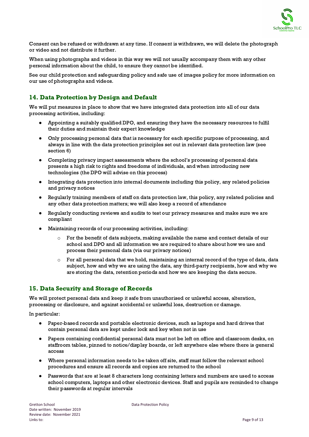

Consent can be refused or withdrawn at any time. If consent is withdrawn, we will delete the photograph or video and not distribute it further.

When using photographs and videos in this way we will not usually accompany them with any other personal information about the child, to ensure they cannot be identified.

See our child protection and safeguarding policy and safe use of images policy for more information on our use of photographs and videos.

# 14. Data Protection by Design and Default

We will put measures in place to show that we have integrated data protection into all of our data processing activities, including:

- Appointing a suitably qualified DPO, and ensuring they have the necessary resources to fulfil their duties and maintain their expert knowledge
- Only processing personal data that is necessary for each specific purpose of processing, and always in line with the data protection principles set out in relevant data protection law (see section 6)
- Completing privacy impact assessments where the school's processing of personal data presents a high risk to rights and freedoms of individuals, and when introducing new technologies (the DPO will advise on this process)
- Integrating data protection into internal documents including this policy, any related policies and privacy notices
- Regularly training members of staff on data protection law, this policy, any related policies and any other data protection matters; we will also keep a record of attendance
- Regularly conducting reviews and audits to test our privacy measures and make sure we are compliant
- Maintaining records of our processing activities, including:
	- For the benefit of data subjects, making available the name and contact details of our school and DPO and all information we are required to share about how we use and process their personal data (via our privacy notices)
	- $\circ$  For all personal data that we hold, maintaining an internal record of the type of data, data subject, how and why we are using the data, any third-party recipients, how and why we are storing the data, retention periods and how we are keeping the data secure.

### 15. Data Security and Storage of Records

We will protect personal data and keep it safe from unauthorised or unlawful access, alteration, processing or disclosure, and against accidental or unlawful loss, destruction or damage.

In particular:

- Paper-based records and portable electronic devices, such as laptops and hard drives that contain personal data are kept under lock and key when not in use
- Papers containing confidential personal data must not be left on office and classroom desks, on staffroom tables, pinned to notice/display boards, or left anywhere else where there is general access
- Where personal information needs to be taken off site, staff must follow the relevant school procedures and ensure all records and copies are returned to the school
- Passwords that are at least 8 characters long containing letters and numbers are used to access school computers, laptops and other electronic devices. Staff and pupils are reminded to change their passwords at regular intervals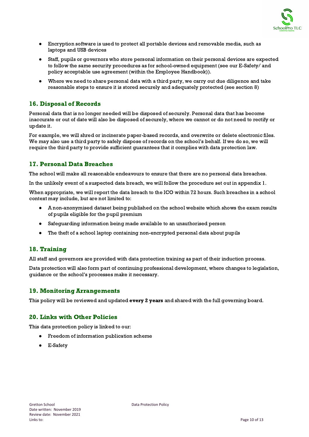

- Encryption software is used to protect all portable devices and removable media, such as laptops and USB devices
- Staff, pupils or governors who store personal information on their personal devices are expected to follow the same security procedures as for school-owned equipment (see our E-Safety/ and policy acceptable use agreement (within the Employee Handbook)).
- Where we need to share personal data with a third party, we carry out due diligence and take reasonable steps to ensure it is stored securely and adequately protected (see section 8)

# 16. Disposal of Records

Personal data that is no longer needed will be disposed of securely. Personal data that has become inaccurate or out of date will also be disposed of securely, where we cannot or do not need to rectify or update it.

For example, we will shred or incinerate paper-based records, and overwrite or delete electronic files. We may also use a third party to safely dispose of records on the school's behalf. If we do so, we will require the third party to provide sufficient guarantees that it complies with data protection law.

# 17. Personal Data Breaches

The school will make all reasonable endeavours to ensure that there are no personal data breaches.

In the unlikely event of a suspected data breach, we will follow the procedure set out in appendix 1.

When appropriate, we will report the data breach to the ICO within 72 hours. Such breaches in a school context may include, but are not limited to:

- A non-anonymised dataset being published on the school website which shows the exam results of pupils eligible for the pupil premium
- Safeguarding information being made available to an unauthorised person
- The theft of a school laptop containing non-encrypted personal data about pupils

# 18. Training

All staff and governors are provided with data protection training as part of their induction process.

Data protection will also form part of continuing professional development, where changes to legislation, guidance or the school's processes make it necessary.

### 19. Monitoring Arrangements

This policy will be reviewed and updated every 2 years and shared with the full governing board.

### 20. Links with Other Policies

This data protection policy is linked to our:

- Freedom of information publication scheme
- **E-Safety**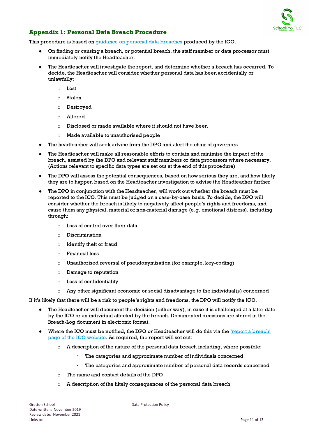

# Appendix 1: Personal Data Breach Procedure

This procedure is based on *guidance on personal data [breaches](https://ico.org.uk/for-organisations/guide-to-the-general-data-protection-regulation-gdpr/personal-data-breaches/)* produced by the ICO.

- On finding or causing a breach, or potential breach, the staff member or data processor must immediately notify the Headteacher.
- The Headteacher will investigate the report, and determine whether a breach has occurred. To decide, the Headteacher will consider whether personal data has been accidentally or unlawfully:
	- o Lost
	- o Stolen
	- o Destroyed
	- o Altered
	- o Disclosed or made available where it should not have been
	- o Made available to unauthorised people
- The headteacher will seek advice from the DPO and alert the chair of governors
- The Headteacher will make all reasonable efforts to contain and minimise the impact of the breach, assisted by the DPO and relevant staff members or data processors where necessary. (Actions relevant to specific data types are set out at the end of this procedure)
- The DPO will assess the potential consequences, based on how serious they are, and how likely they are to happen based on the Headteacher investigation to advise the Headteacher further
- The DPO in conjunction with the Headteacher, will work out whether the breach must be reported to the ICO. This must be judged on a case-by-case basis. To decide, the DPO will consider whether the breach is likely to negatively affect people's rights and freedoms, and cause them any physical, material or non-material damage (e.g. emotional distress), including through:
	- o Loss of control over their data
	- o Discrimination
	- o Identify theft or fraud
	- o Financial loss
	- o Unauthorised reversal of pseudonymisation (for example, key-coding)
	- o Damage to reputation
	- o Loss of confidentiality
	- $\circ$  Any other significant economic or social disadvantage to the individual(s) concerned

If it's likely that there will be a risk to people's rights and freedoms, the DPO will notify the ICO.

- The Headteacher will document the decision (either way), in case it is challenged at a later date by the ICO or an individual affected by the breach. Documented decisions are stored in the Breach-Log document in electronic format.
- Where the ICO must be notified, the DPO or Headteacher will do this via the 'report a [breach'](https://ico.org.uk/for-organisations/report-a-breach/) page of the ICO [website](https://ico.org.uk/for-organisations/report-a-breach/). As required, the report will set out:
	- $\circ$  A description of the nature of the personal data breach including, where possible:
		- The categories and approximate number of individuals concerned
		- The categories and approximate number of personal data records concerned
	- o The name and contact details of the DPO
	- $\circ$  A description of the likely consequences of the personal data breach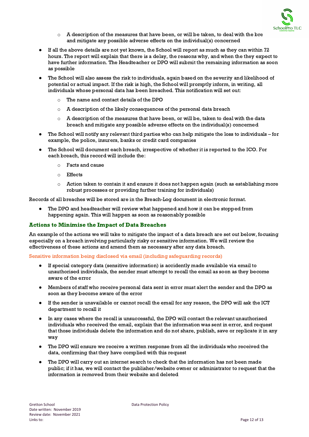

- $\circ$  A description of the measures that have been, or will be taken, to deal with the bre and mitigate any possible adverse effects on the individual(s) concerned
- If all the above details are not yet known, the School will report as much as they can within 72 hours. The report will explain that there is a delay, the reasons why, and when the they expect to have further information. The Headteacher or DPO will submit the remaining information as soon as possible
- The School will also assess the risk to individuals, again based on the severity and likelihood of potential or actual impact. If the risk is high, the School will promptly inform, in writing, all individuals whose personal data has been breached. This notification will set out:
	- o The name and contact details of the DPO
	- $\circ$  A description of the likely consequences of the personal data breach
	- $\circ$  A description of the measures that have been, or will be, taken to deal with the data breach and mitigate any possible adverse effects on the individual(s) concerned
- The School will notify any relevant third parties who can help mitigate the loss to individuals for example, the police, insurers, banks or credit card companies
- The School will document each breach, irrespective of whether it is reported to the ICO. For each breach, this record will include the:
	- o Facts and cause
	- o Effects
	- $\circ$  Action taken to contain it and ensure it does not happen again (such as establishing more robust processes or providing further training for individuals)

Records of all breaches will be stored are in the Breach-Log document in electronic format.

● The DPO and headteacher will review what happened and how it can be stopped from happening again. This will happen as soon as reasonably possible

#### Actions to Minimise the Impact of Data Breaches

An example of the actions we will take to mitigate the impact of a data breach are set out below, focusing especially on a breach involving particularly risky or sensitive information. We will review the effectiveness of these actions and amend them as necessary after any data breach.

#### Sensitive information being disclosed via email (including safeguarding records)

- If special category data (sensitive information) is accidently made available via email to unauthorised individuals, the sender must attempt to recall the email as soon as they become aware of the error
- Members of staff who receive personal data sent in error must alert the sender and the DPO as soon as they become aware of the error
- If the sender is unavailable or cannot recall the email for any reason, the DPO will ask the ICT department to recall it
- In any cases where the recall is unsuccessful, the DPO will contact the relevant unauthorised individuals who received the email, explain that the information was sent in error, and request that those individuals delete the information and do not share, publish, save or replicate it in any way
- The DPO will ensure we receive a written response from all the individuals who received the data, confirming that they have complied with this request
- The DPO will carry out an internet search to check that the information has not been made public; if it has, we will contact the publisher/website owner or administrator to request that the information is removed from their website and deleted